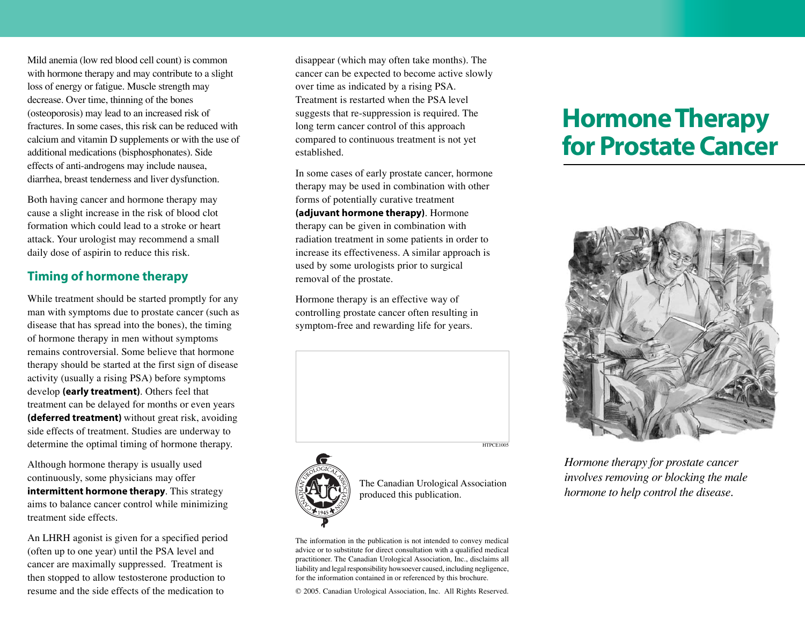Mild anemia (low red blood cell count) is common with hormone therapy and may contribute to a slight loss of energy or fatigue. Muscle strength may decrease. Over time, thinning of the bones (osteoporosis) may lead to an increased risk of fractures. In some cases, this risk can be reduced with calcium and vitamin D supplements or with the use of additional medications (bisphosphonates). Side effects of anti-androgens may include nausea, diarrhea, breast tenderness and liver dysfunction.

Both having cancer and hormone therapy may cause a slight increase in the risk of blood clot formation which could lead to a stroke or heart attack. Your urologist may recommend a small daily dose of aspirin to reduce this risk.

## **Timing of hormone therapy**

While treatment should be started promptly for any man with symptoms due to prostate cancer (such as disease that has spread into the bones), the timing of hormone therapy in men without symptoms remains controversial. Some believe that hormone therapy should be started at the first sign of disease activity (usually a rising PSA) before symptoms develop **(early treatment)**. Others feel that treatment can be delayed for months or even years **(deferred treatment)** without great risk, avoiding side effects of treatment. Studies are underway to determine the optimal timing of hormone therapy.

Although hormone therapy is usually used continuously, some physicians may offer **intermittent hormone therapy**. This strategy aims to balance cancer control while minimizing treatment side effects.

An LHRH agonist is given for a specified period (often up to one year) until the PSA level and cancer are maximally suppressed. Treatment is then stopped to allow testosterone production to resume and the side effects of the medication to

disappear (which may often take months). The cancer can be expected to become active slowly over time as indicated by a rising PSA. Treatment is restarted when the PSA level suggests that re-suppression is required. The long term cancer control of this approach compared to continuous treatment is not yet established.

In some cases of early prostate cancer, hormone therapy may be used in combination with other forms of potentially curative treatment **(adjuvant hormone therapy)**. Hormone therapy can be given in combination with radiation treatment in some patients in order to increase its effectiveness. A similar approach is used by some urologists prior to surgical removal of the prostate.

Hormone therapy is an effective way of controlling prostate cancer often resulting in symptom-free and rewarding life for years.



HTPCE1005



The Canadian Urological Association produced this publication.

The information in the publication is not intended to convey medical advice or to substitute for direct consultation with a qualified medical practitioner. The Canadian Urological Association, Inc., disclaims all liability and legal responsibility howsoever caused, including negligence, for the information contained in or referenced by this brochure.

© 2005. Canadian Urological Association, Inc. All Rights Reserved.

## **Hormone Therapy for Prostate Cancer**



*Hormone therapy for prostate cancer involves removing or blocking the male hormone to help control the disease.*